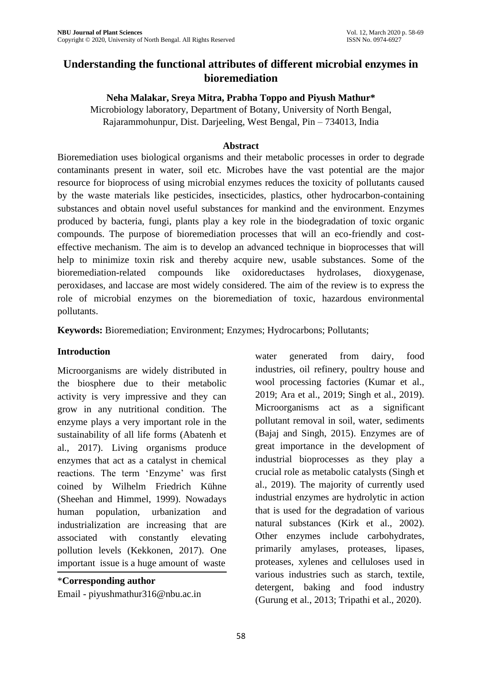# **Understanding the functional attributes of different microbial enzymes in bioremediation**

### **Neha Malakar, Sreya Mitra, Prabha Toppo and Piyush Mathur\***

Microbiology laboratory, Department of Botany, University of North Bengal, Rajarammohunpur, Dist. Darjeeling, West Bengal, Pin – 734013, India

#### **Abstract**

Bioremediation uses biological organisms and their metabolic processes in order to degrade contaminants present in water, soil etc. Microbes have the vast potential are the major resource for bioprocess of using microbial enzymes reduces the toxicity of pollutants caused by the waste materials like pesticides, insecticides, plastics, other hydrocarbon-containing substances and obtain novel useful substances for mankind and the environment. Enzymes produced by bacteria, fungi, plants play a key role in the biodegradation of toxic organic compounds. The purpose of bioremediation processes that will an eco-friendly and costeffective mechanism. The aim is to develop an advanced technique in bioprocesses that will help to minimize toxin risk and thereby acquire new, usable substances. Some of the bioremediation-related compounds like oxidoreductases hydrolases, dioxygenase, peroxidases, and laccase are most widely considered. The aim of the review is to express the role of microbial enzymes on the bioremediation of toxic, hazardous environmental pollutants.

**Keywords:** Bioremediation; Environment; Enzymes; Hydrocarbons; Pollutants;

### **Introduction**

Microorganisms are widely distributed in the biosphere due to their metabolic activity is very impressive and they can grow in any nutritional condition. The enzyme plays a very important role in the sustainability of all life forms (Abatenh et al., 2017). Living organisms produce enzymes that act as a catalyst in chemical reactions. The term 'Enzyme' was first coined by Wilhelm Friedrich Kühne (Sheehan and Himmel, 1999). Nowadays human population, urbanization and industrialization are increasing that are associated with constantly elevating pollution levels (Kekkonen, 2017). One important issue is a huge amount of waste

\***Corresponding author**  Email - piyushmathur316@nbu.ac.in water generated from dairy, food industries, oil refinery, poultry house and wool processing factories (Kumar et al., 2019; Ara et al., 2019; Singh et al., 2019). Microorganisms act as a significant pollutant removal in soil, water, sediments (Bajaj and Singh, 2015). Enzymes are of great importance in the development of industrial bioprocesses as they play a crucial role as metabolic catalysts (Singh et al., 2019). The majority of currently used industrial enzymes are hydrolytic in action that is used for the degradation of various natural substances (Kirk et al., 2002). Other enzymes include carbohydrates, primarily amylases, proteases, lipases, proteases, xylenes and celluloses used in various industries such as starch, textile, detergent, baking and food industry (Gurung et al., 2013; Tripathi et al., 2020).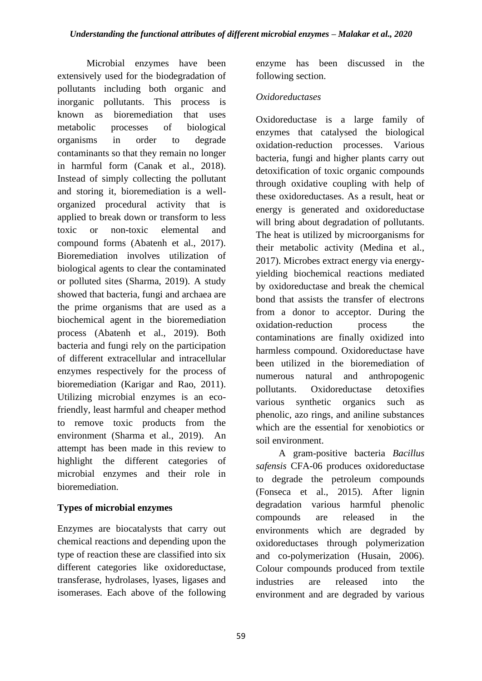Microbial enzymes have been extensively used for the biodegradation of pollutants including both organic and inorganic pollutants. This process is known as bioremediation that uses metabolic processes of biological organisms in order to degrade contaminants so that they remain no longer in harmful form (Canak et al., 2018). Instead of simply collecting the pollutant and storing it, bioremediation is a wellorganized procedural activity that is applied to break down or transform to less toxic or non-toxic elemental and compound forms (Abatenh et al., 2017). Bioremediation involves utilization of biological agents to clear the contaminated or polluted sites (Sharma, 2019). A study showed that bacteria, fungi and archaea are the prime organisms that are used as a biochemical agent in the bioremediation process (Abatenh et al., 2019). Both bacteria and fungi rely on the participation of different extracellular and intracellular enzymes respectively for the process of bioremediation (Karigar and Rao, 2011). Utilizing microbial enzymes is an ecofriendly, least harmful and cheaper method to remove toxic products from the environment (Sharma et al., 2019). An attempt has been made in this review to highlight the different categories of microbial enzymes and their role in bioremediation.

## **Types of microbial enzymes**

Enzymes are biocatalysts that carry out chemical reactions and depending upon the type of reaction these are classified into six different categories like oxidoreductase, transferase, hydrolases, lyases, ligases and isomerases. Each above of the following

enzyme has been discussed in the following section.

## *Oxidoreductases*

Oxidoreductase is a large family of enzymes that catalysed the biological oxidation-reduction processes. Various bacteria, fungi and higher plants carry out detoxification of toxic organic compounds through oxidative coupling with help of these oxidoreductases. As a result, heat or energy is generated and oxidoreductase will bring about degradation of pollutants. The heat is utilized by microorganisms for their metabolic activity (Medina et al., 2017). Microbes extract energy via energyyielding biochemical reactions mediated by oxidoreductase and break the chemical bond that assists the transfer of electrons from a donor to acceptor. During the oxidation-reduction process the contaminations are finally oxidized into harmless compound. Oxidoreductase have been utilized in the bioremediation of numerous natural and anthropogenic pollutants. Oxidoreductase detoxifies various synthetic organics such as phenolic, azo rings, and aniline substances which are the essential for xenobiotics or soil environment.

A gram-positive bacteria *Bacillus safensis* CFA-06 produces oxidoreductase to degrade the petroleum compounds (Fonseca et al., 2015). After lignin degradation various harmful phenolic compounds are released in the environments which are degraded by oxidoreductases through polymerization and co-polymerization (Husain, 2006). Colour compounds produced from textile industries are released into the environment and are degraded by various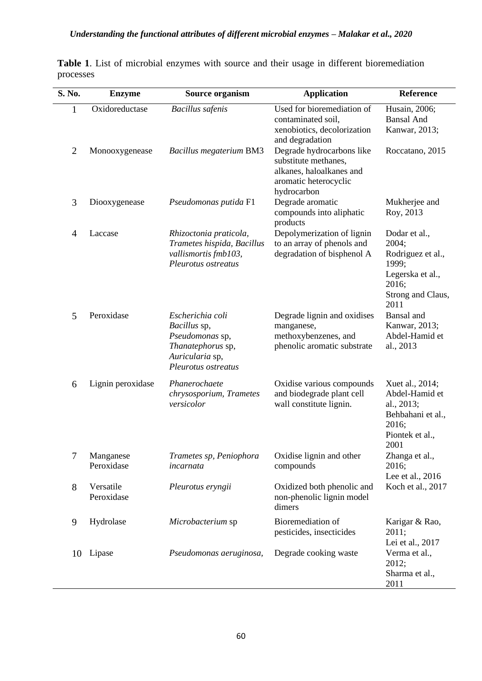| S. No.         | <b>Enzyme</b>           | <b>Source organism</b>                                                                                             | <b>Application</b>                                                                                                    | Reference                                                                                                      |
|----------------|-------------------------|--------------------------------------------------------------------------------------------------------------------|-----------------------------------------------------------------------------------------------------------------------|----------------------------------------------------------------------------------------------------------------|
| $\mathbf{1}$   | Oxidoreductase          | <b>Bacillus</b> safenis                                                                                            | Used for bioremediation of<br>contaminated soil,<br>xenobiotics, decolorization<br>and degradation                    | Husain, 2006;<br><b>Bansal And</b><br>Kanwar, 2013;                                                            |
| $\overline{2}$ | Monooxygenease          | <b>Bacillus megaterium BM3</b>                                                                                     | Degrade hydrocarbons like<br>substitute methanes,<br>alkanes, haloalkanes and<br>aromatic heterocyclic<br>hydrocarbon | Roccatano, 2015                                                                                                |
| 3              | Diooxygenease           | Pseudomonas putida F1                                                                                              | Degrade aromatic<br>compounds into aliphatic<br>products                                                              | Mukherjee and<br>Roy, 2013                                                                                     |
| 4              | Laccase                 | Rhizoctonia praticola,<br>Trametes hispida, Bacillus<br>vallismortis fmb103,<br>Pleurotus ostreatus                | Depolymerization of lignin<br>to an array of phenols and<br>degradation of bisphenol A                                | Dodar et al.,<br>2004;<br>Rodriguez et al.,<br>1999;<br>Legerska et al.,<br>2016;<br>Strong and Claus,<br>2011 |
| 5              | Peroxidase              | Escherichia coli<br>Bacillus sp,<br>Pseudomonas sp,<br>Thanatephorus sp,<br>Auricularia sp,<br>Pleurotus ostreatus | Degrade lignin and oxidises<br>manganese,<br>methoxybenzenes, and<br>phenolic aromatic substrate                      | Bansal and<br>Kanwar, 2013;<br>Abdel-Hamid et<br>al., 2013                                                     |
| 6              | Lignin peroxidase       | Phanerochaete<br>chrysosporium, Trametes<br>versicolor                                                             | Oxidise various compounds<br>and biodegrade plant cell<br>wall constitute lignin.                                     | Xuet al., 2014;<br>Abdel-Hamid et<br>al., 2013;<br>Behbahani et al.,<br>2016;<br>Piontek et al.,<br>2001       |
| $\tau$         | Manganese<br>Peroxidase | Trametes sp, Peniophora<br>incarnata                                                                               | Oxidise lignin and other<br>compounds                                                                                 | Zhanga et al.,<br>2016;<br>Lee et al., 2016                                                                    |
| 8              | Versatile<br>Peroxidase | Pleurotus eryngii                                                                                                  | Oxidized both phenolic and<br>non-phenolic lignin model<br>dimers                                                     | Koch et al., 2017                                                                                              |
| 9              | Hydrolase               | Microbacterium sp                                                                                                  | Bioremediation of<br>pesticides, insecticides                                                                         | Karigar & Rao,<br>2011;<br>Lei et al., 2017                                                                    |
| 10             | Lipase                  | Pseudomonas aeruginosa,                                                                                            | Degrade cooking waste                                                                                                 | Verma et al.,<br>2012;<br>Sharma et al.,<br>2011                                                               |

**Table 1**. List of microbial enzymes with source and their usage in different bioremediation processes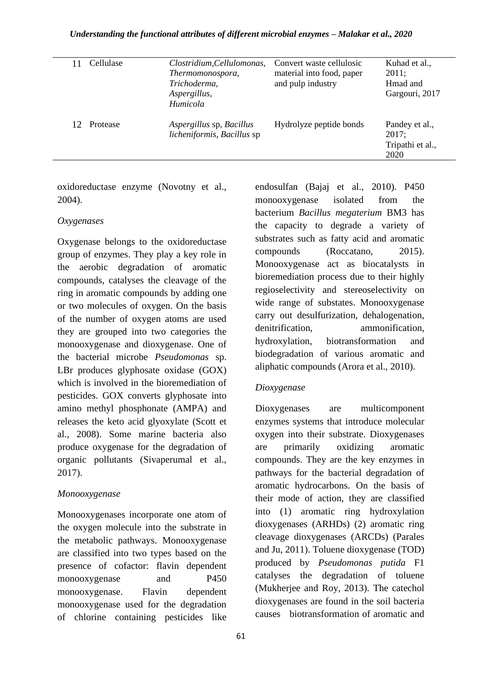#### *Understanding the functional attributes of different microbial enzymes – Malakar et al., 2020*

| Cellulase | Clostridium, Cellulomonas,<br>Thermomonospora,<br>Trichoderma,<br>Aspergillus,<br>Humicola | Convert waste cellulosic<br>material into food, paper<br>and pulp industry | Kuhad et al.,<br>2011:<br>Hmad and<br>Gargouri, 2017 |
|-----------|--------------------------------------------------------------------------------------------|----------------------------------------------------------------------------|------------------------------------------------------|
| Protease  | Aspergillus sp, Bacillus<br>licheniformis, Bacillus sp                                     | Hydrolyze peptide bonds                                                    | Pandey et al.,<br>2017:<br>Tripathi et al.,<br>2020  |

oxidoreductase enzyme (Novotny et al., 2004).

#### *Oxygenases*

Oxygenase belongs to the oxidoreductase group of enzymes. They play a key role in the aerobic degradation of aromatic compounds, catalyses the cleavage of the ring in aromatic compounds by adding one or two molecules of oxygen. On the basis of the number of oxygen atoms are used they are grouped into two categories the monooxygenase and dioxygenase. One of the bacterial microbe *Pseudomonas* sp. LBr produces glyphosate oxidase (GOX) which is involved in the bioremediation of pesticides. GOX converts glyphosate into amino methyl phosphonate (AMPA) and releases the keto acid glyoxylate (Scott et al., 2008). Some marine bacteria also produce oxygenase for the degradation of organic pollutants (Sivaperumal et al., 2017).

### *Monooxygenase*

Monooxygenases incorporate one atom of the oxygen molecule into the substrate in the metabolic pathways. Monooxygenase are classified into two types based on the presence of cofactor: flavin dependent monooxygenase and P450 monooxygenase. Flavin dependent monooxygenase used for the degradation of chlorine containing pesticides like

endosulfan (Bajaj et al., 2010). P450 monooxygenase isolated from the bacterium *Bacillus megaterium* BM3 has the capacity to degrade a variety of substrates such as fatty acid and aromatic compounds (Roccatano, 2015). Monooxygenase act as biocatalysts in bioremediation process due to their highly regioselectivity and stereoselectivity on wide range of substates. Monooxygenase carry out desulfurization, dehalogenation, denitrification, ammonification, hydroxylation, biotransformation and biodegradation of various aromatic and aliphatic compounds (Arora et al., 2010).

### *Dioxygenase*

Dioxygenases are multicomponent enzymes systems that introduce molecular oxygen into their substrate. Dioxygenases are primarily oxidizing aromatic compounds. They are the key enzymes in pathways for the bacterial degradation of aromatic hydrocarbons. On the basis of their mode of action, they are classified into (1) aromatic ring hydroxylation dioxygenases (ARHDs) (2) aromatic ring cleavage dioxygenases (ARCDs) (Parales and Ju, 2011). Toluene dioxygenase (TOD) produced by *Pseudomonas putida* F1 catalyses the degradation of toluene (Mukherjee and Roy, 2013). The catechol dioxygenases are found in the soil bacteria causes biotransformation of aromatic and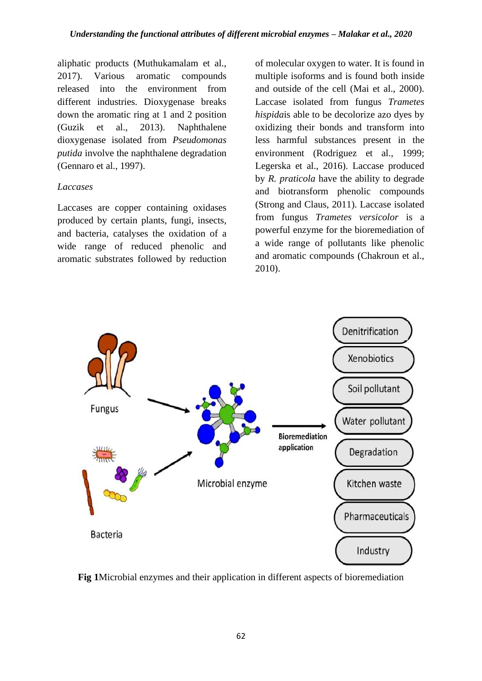aliphatic products (Muthukamalam et al., 2017). Various aromatic compounds released into the environment from different industries. Dioxygenase breaks down the aromatic ring at 1 and 2 position (Guzik et al., 2013). Naphthalene dioxygenase isolated from *Pseudomonas putida* involve the naphthalene degradation (Gennaro et al., 1997).

#### *Laccases*

Laccases are copper containing oxidases produced by certain plants, fungi, insects, and bacteria, catalyses the oxidation of a wide range of reduced phenolic and aromatic substrates followed by reduction

of molecular oxygen to water. It is found in multiple isoforms and is found both inside and outside of the cell (Mai et al., 2000). Laccase isolated from fungus *Trametes hispida*is able to be decolorize azo dyes by oxidizing their bonds and transform into less harmful substances present in the environment (Rodriguez et al., 1999; Legerska et al., 2016). Laccase produced by *R. praticola* have the ability to degrade and biotransform phenolic compounds (Strong and Claus, 2011). Laccase isolated from fungus *Trametes versicolor* is a powerful enzyme for the bioremediation of a wide range of pollutants like phenolic and aromatic compounds (Chakroun et al., 2010).



**Fig 1**Microbial enzymes and their application in different aspects of bioremediation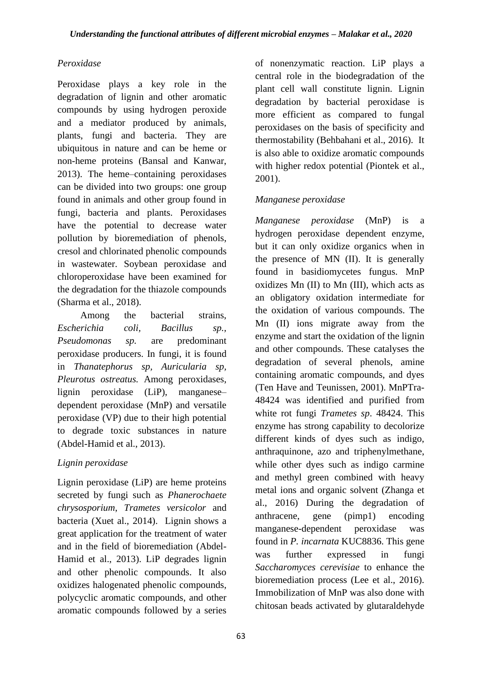## *Peroxidase*

Peroxidase plays a key role in the degradation of lignin and other aromatic compounds by using hydrogen peroxide and a mediator produced by animals, plants, fungi and bacteria. They are ubiquitous in nature and can be heme or non-heme proteins (Bansal and Kanwar, 2013). The heme–containing peroxidases can be divided into two groups: one group found in animals and other group found in fungi, bacteria and plants. Peroxidases have the potential to decrease water pollution by bioremediation of phenols, cresol and chlorinated phenolic compounds in wastewater. Soybean peroxidase and chloroperoxidase have been examined for the degradation for the thiazole compounds (Sharma et al., 2018).

Among the bacterial strains, *Escherichia coli, Bacillus sp., Pseudomonas sp.* are predominant peroxidase producers. In fungi, it is found in *Thanatephorus sp, Auricularia sp, Pleurotus ostreatus.* Among peroxidases, lignin peroxidase (LiP), manganese– dependent peroxidase (MnP) and versatile peroxidase (VP) due to their high potential to degrade toxic substances in nature (Abdel-Hamid et al., 2013).

# *Lignin peroxidase*

Lignin peroxidase (LiP) are heme proteins secreted by fungi such as *Phanerochaete chrysosporium*, *Trametes versicolor* and bacteria (Xuet al., 2014). Lignin shows a great application for the treatment of water and in the field of bioremediation (Abdel-Hamid et al., 2013). LiP degrades lignin and other phenolic compounds. It also oxidizes halogenated phenolic compounds, polycyclic aromatic compounds, and other aromatic compounds followed by a series of nonenzymatic reaction. LiP plays a central role in the biodegradation of the plant cell wall constitute lignin. Lignin degradation by bacterial peroxidase is more efficient as compared to fungal peroxidases on the basis of specificity and thermostability (Behbahani et al., 2016). It is also able to oxidize aromatic compounds with higher redox potential (Piontek et al., 2001).

## *Manganese peroxidase*

*Manganese peroxidase* (MnP) is a hydrogen peroxidase dependent enzyme, but it can only oxidize organics when in the presence of MN (II). It is generally found in basidiomycetes fungus. MnP oxidizes Mn (II) to Mn (III), which acts as an obligatory oxidation intermediate for the oxidation of various compounds. The Mn (II) ions migrate away from the enzyme and start the oxidation of the lignin and other compounds. These catalyses the degradation of several phenols, amine containing aromatic compounds, and dyes (Ten Have and Teunissen, 2001). MnPTra-48424 was identified and purified from white rot fungi *Trametes sp*. 48424. This enzyme has strong capability to decolorize different kinds of dyes such as indigo, anthraquinone, azo and triphenylmethane, while other dyes such as indigo carmine and methyl green combined with heavy metal ions and organic solvent (Zhanga et al., 2016) During the degradation of anthracene, gene (pimp1) encoding manganese-dependent peroxidase was found in *P. incarnata* KUC8836. This gene was further expressed in fungi *Saccharomyces cerevisiae* to enhance the bioremediation process (Lee et al., 2016). Immobilization of MnP was also done with chitosan beads activated by glutaraldehyde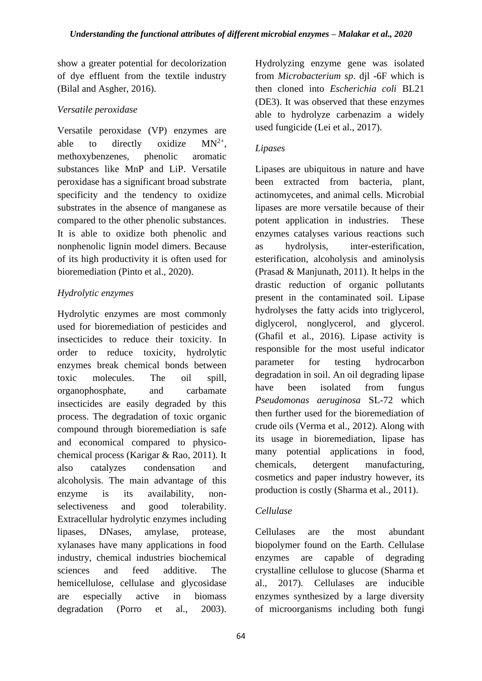show a greater potential for decolorization of dye effluent from the textile industry (Bilal and Asgher, 2016).

## *Versatile peroxidase*

Versatile peroxidase (VP) enzymes are able to directly oxidize  $MN^{2+}$ . methoxybenzenes, phenolic aromatic substances like MnP and LiP. Versatile peroxidase has a significant broad substrate specificity and the tendency to oxidize substrates in the absence of manganese as compared to the other phenolic substances. It is able to oxidize both phenolic and nonphenolic lignin model dimers. Because of its high productivity it is often used for bioremediation (Pinto et al., 2020).

# *Hydrolytic enzymes*

Hydrolytic enzymes are most commonly used for bioremediation of pesticides and insecticides to reduce their toxicity. In order to reduce toxicity, hydrolytic enzymes break chemical bonds between toxic molecules. The oil spill, organophosphate, and carbamate insecticides are easily degraded by this process. The degradation of toxic organic compound through bioremediation is safe and economical compared to physicochemical process (Karigar & Rao, 2011). It also catalyzes condensation and alcoholysis. The main advantage of this enzyme is its availability, nonselectiveness and good tolerability. Extracellular hydrolytic enzymes including lipases, DNases, amylase, protease, xylanases have many applications in food industry, chemical industries biochemical sciences and feed additive. The hemicellulose, cellulase and glycosidase are especially active in biomass degradation (Porro et al., 2003).

Hydrolyzing enzyme gene was isolated from *Microbacterium sp*. djl -6F which is then cloned into *Escherichia coli* BL21 (DE3). It was observed that these enzymes able to hydrolyze carbenazim a widely used fungicide (Lei et al., 2017).

## *Lipases*

Lipases are ubiquitous in nature and have been extracted from bacteria, plant, actinomycetes, and animal cells. Microbial lipases are more versatile because of their potent application in industries. These enzymes catalyses various reactions such as hydrolysis, inter-esterification, esterification, alcoholysis and aminolysis (Prasad & Manjunath, 2011). It helps in the drastic reduction of organic pollutants present in the contaminated soil. Lipase hydrolyses the fatty acids into triglycerol, diglycerol, nonglycerol, and glycerol. (Ghafil et al., 2016). Lipase activity is responsible for the most useful indicator parameter for testing hydrocarbon degradation in soil. An oil degrading lipase have been isolated from fungus *Pseudomonas aeruginosa* SL-72 which then further used for the bioremediation of crude oils (Verma et al., 2012). Along with its usage in bioremediation, lipase has many potential applications in food, chemicals, detergent manufacturing, cosmetics and paper industry however, its production is costly (Sharma et al., 2011).

# *Cellulase*

Cellulases are the most abundant biopolymer found on the Earth. Cellulase enzymes are capable of degrading crystalline cellulose to glucose (Sharma et al., 2017). Cellulases are inducible enzymes synthesized by a large diversity of microorganisms including both fungi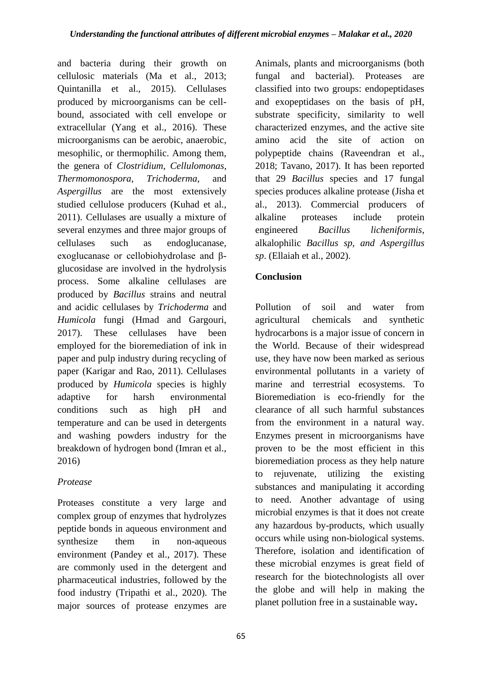and bacteria during their growth on cellulosic materials (Ma et al., 2013; Quintanilla et al., 2015). Cellulases produced by microorganisms can be cellbound, associated with cell envelope or extracellular (Yang et al., 2016). These microorganisms can be aerobic, anaerobic, mesophilic, or thermophilic. Among them, the genera of *Clostridium*, *Cellulomonas*, *Thermomonospora*, *Trichoderma*, and *Aspergillus* are the most extensively studied cellulose producers (Kuhad et al., 2011). Cellulases are usually a mixture of several enzymes and three major groups of cellulases such as endoglucanase, exoglucanase or cellobiohydrolase and βglucosidase are involved in the hydrolysis process. Some alkaline cellulases are produced by *Bacillus* strains and neutral and acidic cellulases by *Trichoderma* and *Humicola* fungi (Hmad and Gargouri, 2017). These cellulases have been employed for the bioremediation of ink in paper and pulp industry during recycling of paper (Karigar and Rao, 2011). Cellulases produced by *Humicola* species is highly adaptive for harsh environmental conditions such as high pH and temperature and can be used in detergents and washing powders industry for the breakdown of hydrogen bond (Imran et al., 2016)

# *Protease*

Proteases constitute a very large and complex group of enzymes that hydrolyzes peptide bonds in aqueous environment and synthesize them in non-aqueous environment (Pandey et al., 2017). These are commonly used in the detergent and pharmaceutical industries, followed by the food industry (Tripathi et al., 2020). The major sources of protease enzymes are alkaline proteases include protein engineered *Bacillus licheniformis*, alkalophilic *Bacillus sp, and Aspergillus sp*. (Ellaiah et al., 2002). **Conclusion**  Pollution of soil and water from

Animals, plants and microorganisms (both fungal and bacterial). Proteases are classified into two groups: endopeptidases and exopeptidases on the basis of pH, substrate specificity, similarity to well characterized enzymes, and the active site amino acid the site of action on polypeptide chains (Raveendran et al., 2018; Tavano, 2017). It has been reported that 29 *Bacillus* species and 17 fungal species produces alkaline protease (Jisha et al., 2013). Commercial producers of

agricultural chemicals and synthetic hydrocarbons is a major issue of concern in the World. Because of their widespread use, they have now been marked as serious environmental pollutants in a variety of marine and terrestrial ecosystems. To Bioremediation is eco-friendly for the clearance of all such harmful substances from the environment in a natural way. Enzymes present in microorganisms have proven to be the most efficient in this bioremediation process as they help nature to rejuvenate, utilizing the existing substances and manipulating it according to need. Another advantage of using microbial enzymes is that it does not create any hazardous by-products, which usually occurs while using non-biological systems. Therefore, isolation and identification of these microbial enzymes is great field of research for the biotechnologists all over the globe and will help in making the planet pollution free in a sustainable way**.**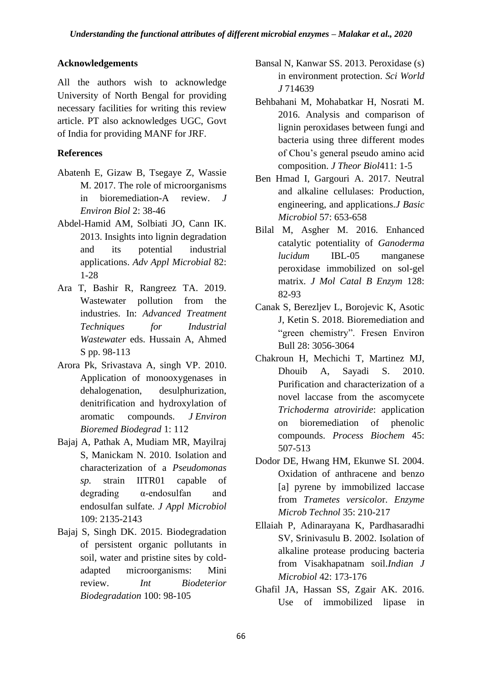### **Acknowledgements**

All the authors wish to acknowledge University of North Bengal for providing necessary facilities for writing this review article. PT also acknowledges UGC, Govt of India for providing MANF for JRF.

## **References**

- Abatenh E, Gizaw B, Tsegaye Z, Wassie M. 2017. The role of microorganisms in bioremediation-A review. *J Environ Biol* 2: 38-46
- Abdel-Hamid AM, Solbiati JO, Cann IK. 2013. Insights into lignin degradation and its potential industrial applications. *Adv Appl Microbial* 82: 1-28
- Ara T, Bashir R, Rangreez TA. 2019. Wastewater pollution from the industries. In: *Advanced Treatment Techniques for Industrial Wastewater* eds. Hussain A, Ahmed S pp. 98-113
- Arora Pk, Srivastava A, singh VP. 2010. Application of monooxygenases in dehalogenation, desulphurization, denitrification and hydroxylation of aromatic compounds. *J Environ Bioremed Biodegrad* 1: 112
- Bajaj A, Pathak A, Mudiam MR, Mayilraj S, Manickam N. 2010. Isolation and characterization of a *Pseudomonas sp.* strain IITR01 capable of degrading α‐endosulfan and endosulfan sulfate. *J Appl Microbiol* 109: 2135-2143
- Bajaj S, Singh DK. 2015. Biodegradation of persistent organic pollutants in soil, water and pristine sites by coldadapted microorganisms: Mini review. *Int Biodeterior Biodegradation* 100: 98-105
- Bansal N, Kanwar SS. 2013. Peroxidase (s) in environment protection. *Sci World J* 714639
- Behbahani M, Mohabatkar H, Nosrati M. 2016. Analysis and comparison of lignin peroxidases between fungi and bacteria using three different modes of Chou's general pseudo amino acid composition. *J Theor Biol*411: 1-5
- Ben Hmad I, Gargouri A. 2017. Neutral and alkaline cellulases: Production, engineering, and applications.*J Basic Microbiol* 57: 653-658
- Bilal M, Asgher M. 2016. Enhanced catalytic potentiality of *Ganoderma lucidum* IBL-05 manganese peroxidase immobilized on sol-gel matrix. *J Mol Catal B Enzym* 128: 82-93
- Canak S, Berezljev L, Borojevic K, Asotic J, Ketin S. 2018. Bioremediation and "green chemistry". Fresen Environ Bull 28: 3056-3064
- Chakroun H, Mechichi T, Martinez MJ, Dhouib A, Sayadi S. 2010. Purification and characterization of a novel laccase from the ascomycete *Trichoderma atroviride*: application on bioremediation of phenolic compounds. *Process Biochem* 45: 507-513
- Dodor DE, Hwang HM, Ekunwe SI. 2004. Oxidation of anthracene and benzo [a] pyrene by immobilized laccase from *Trametes versicolo*r. *Enzyme Microb Technol* 35: 210-217
- Ellaiah P, Adinarayana K, Pardhasaradhi SV, Srinivasulu B. 2002. Isolation of alkaline protease producing bacteria from Visakhapatnam soil.*Indian J Microbiol* 42: 173-176
- Ghafil JA, Hassan SS, Zgair AK. 2016. Use of immobilized lipase in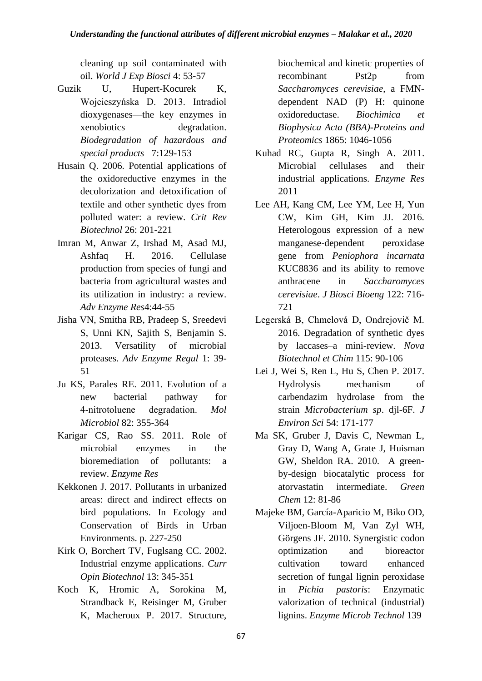cleaning up soil contaminated with oil. *World J Exp Biosci* 4: 53-57

- Guzik U, Hupert-Kocurek K, Wojcieszyńska D. 2013. Intradiol dioxygenases—the key enzymes in xenobiotics degradation. *Biodegradation of hazardous and special products* 7:129-153
- Husain Q. 2006. Potential applications of the oxidoreductive enzymes in the decolorization and detoxification of textile and other synthetic dyes from polluted water: a review. *Crit Rev Biotechnol* 26: 201-221
- Imran M, Anwar Z, Irshad M, Asad MJ, Ashfaq H. 2016. Cellulase production from species of fungi and bacteria from agricultural wastes and its utilization in industry: a review. *Adv Enzyme Res*4:44-55
- Jisha VN, Smitha RB, Pradeep S, Sreedevi S, Unni KN, Sajith S, Benjamin S. 2013. Versatility of microbial proteases. *Adv Enzyme Regul* 1: 39- 51
- Ju KS, Parales RE. 2011. Evolution of a new bacterial pathway for 4‐nitrotoluene degradation. *Mol Microbiol* 82: 355-364
- Karigar CS, Rao SS. 2011. Role of microbial enzymes in the bioremediation of pollutants: a review. *Enzyme Res*
- Kekkonen J. 2017. Pollutants in urbanized areas: direct and indirect effects on bird populations. In Ecology and Conservation of Birds in Urban Environments. p. 227-250
- Kirk O, Borchert TV, Fuglsang CC. 2002. Industrial enzyme applications. *Curr Opin Biotechnol* 13: 345-351
- Koch K, Hromic A, Sorokina M, Strandback E, Reisinger M, Gruber K, Macheroux P. 2017. Structure,

biochemical and kinetic properties of recombinant Pst2p from *Saccharomyces cerevisiae*, a FMNdependent NAD (P) H: quinone oxidoreductase. *Biochimica et Biophysica Acta (BBA)-Proteins and Proteomics* 1865: 1046-1056

- Kuhad RC, Gupta R, Singh A. 2011. Microbial cellulases and their industrial applications. *Enzyme Res* 2011
- Lee AH, Kang CM, Lee YM, Lee H, Yun CW, Kim GH, Kim JJ. 2016. Heterologous expression of a new manganese-dependent peroxidase gene from *Peniophora incarnata* KUC8836 and its ability to remove anthracene in *Saccharomyces cerevisiae*. *J Biosci Bioeng* 122: 716- 721
- Legerská B, Chmelová D, Ondrejovič M. 2016. Degradation of synthetic dyes by laccases–a mini-review. *Nova Biotechnol et Chim* 115: 90-106
- Lei J, Wei S, Ren L, Hu S, Chen P. 2017. Hydrolysis mechanism of carbendazim hydrolase from the strain *Microbacterium sp*. djl-6F. *J Environ Sci* 54: 171-177
- Ma SK, Gruber J, Davis C, Newman L, Gray D, Wang A, Grate J, Huisman GW, Sheldon RA. 2010. A greenby-design biocatalytic process for atorvastatin intermediate. *Green Chem* 12: 81-86
- Majeke BM, García-Aparicio M, Biko OD, Viljoen-Bloom M, Van Zyl WH, Görgens JF. 2010. Synergistic codon optimization and bioreactor cultivation toward enhanced secretion of fungal lignin peroxidase in *Pichia pastoris*: Enzymatic valorization of technical (industrial) lignins. *Enzyme Microb Technol* 139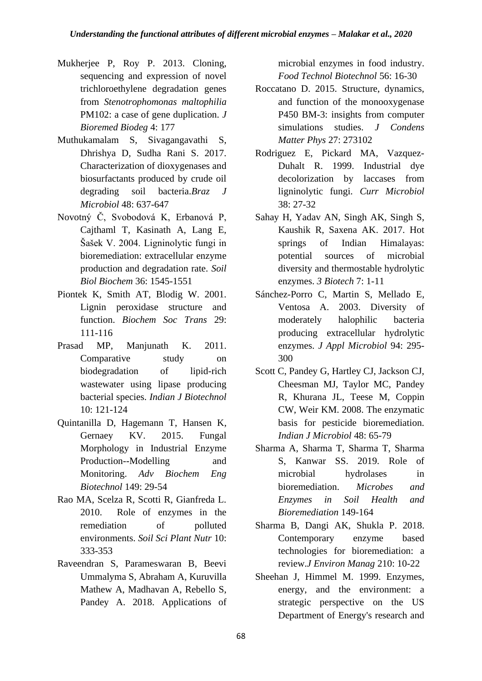- Mukherjee P, Roy P. 2013. Cloning, sequencing and expression of novel trichloroethylene degradation genes from *Stenotrophomonas maltophilia* PM102: a case of gene duplication. *J Bioremed Biodeg* 4: 177
- Muthukamalam S, Sivagangavathi S, Dhrishya D, Sudha Rani S. 2017. Characterization of dioxygenases and biosurfactants produced by crude oil degrading soil bacteria.*Braz J Microbiol* 48: 637-647
- Novotný Č, Svobodová K, Erbanová P, Cajthaml T, Kasinath A, Lang E, Šašek V. 2004. Ligninolytic fungi in bioremediation: extracellular enzyme production and degradation rate. *Soil Biol Biochem* 36: 1545-1551
- Piontek K, Smith AT, Blodig W. 2001. Lignin peroxidase structure and function. *Biochem Soc Trans* 29: 111-116
- Prasad MP, Manjunath K. 2011. Comparative study on biodegradation of lipid-rich wastewater using lipase producing bacterial species. *Indian J Biotechnol* 10: 121-124
- Quintanilla D, Hagemann T, Hansen K, Gernaey KV. 2015. Fungal Morphology in Industrial Enzyme Production--Modelling and Monitoring. *Adv Biochem Eng Biotechnol* 149: 29-54
- Rao MA, Scelza R, Scotti R, Gianfreda L. 2010. Role of enzymes in the remediation of polluted environments. *Soil Sci Plant Nutr* 10: 333-353
- Raveendran S, Parameswaran B, Beevi Ummalyma S, Abraham A, Kuruvilla Mathew A, Madhavan A, Rebello S, Pandey A. 2018. Applications of

microbial enzymes in food industry. *Food Technol Biotechnol* 56: 16-30

- Roccatano D. 2015. Structure, dynamics, and function of the monooxygenase P450 BM-3: insights from computer simulations studies. *J Condens Matter Phys* 27: 273102
- Rodriguez E, Pickard MA, Vazquez-Duhalt R. 1999. Industrial dye decolorization by laccases from ligninolytic fungi. *Curr Microbiol* 38: 27-32
- Sahay H, Yadav AN, Singh AK, Singh S, Kaushik R, Saxena AK. 2017. Hot springs of Indian Himalayas: potential sources of microbial diversity and thermostable hydrolytic enzymes. *3 Biotech* 7: 1-11
- Sánchez-Porro C, Martin S, Mellado E, Ventosa A. 2003. Diversity of moderately halophilic bacteria producing extracellular hydrolytic enzymes. *J Appl Microbiol* 94: 295- 300
- Scott C, Pandey G, Hartley CJ, Jackson CJ, Cheesman MJ, Taylor MC, Pandey R, Khurana JL, Teese M, Coppin CW, Weir KM. 2008. The enzymatic basis for pesticide bioremediation. *Indian J Microbiol* 48: 65-79
- Sharma A, Sharma T, Sharma T, Sharma S, Kanwar SS. 2019. Role of microbial hydrolases in bioremediation. *Microbes and Enzymes in Soil Health and Bioremediation* 149-164
- Sharma B, Dangi AK, Shukla P. 2018. Contemporary enzyme based technologies for bioremediation: a review.*J Environ Manag* 210: 10-22
- Sheehan J, Himmel M. 1999. Enzymes, energy, and the environment: a strategic perspective on the US Department of Energy's research and